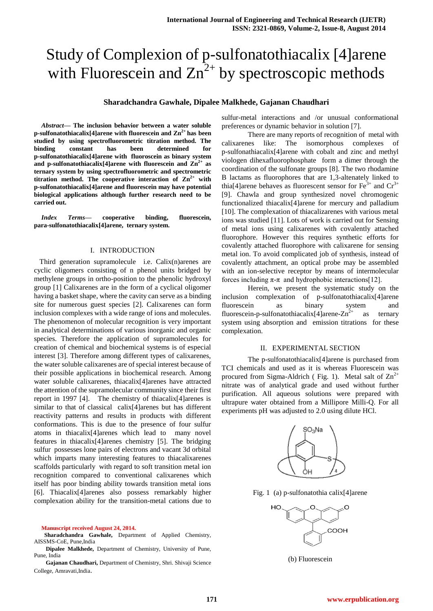# Study of Complexion of p-sulfonatothiacalix [4]arene with Fluorescein and  $\text{Zn}^{2+}$  by spectroscopic methods

## **Sharadchandra Gawhale, Dipalee Malkhede, Gajanan Chaudhari**

*Abstract***— The inclusion behavior between a water soluble p-sulfonatothiacalix[4]arene with fluorescein and Zn2+ has been studied by using spectrofluorometric titration method. The binding constant has been determined for p-sulfonatothiacalix[4]arene with fluoroscein as binary system**  and p-sulfonatothiacalix<sup>[4]</sup>arene with fluorescein and  $\text{Zn}^{2+}$  as **ternary system by using spectrofluorometric and spectrometric titration method. The cooperative interaction of Zn2+ with p-sulfonatothiacalix[4]arene and fluorescein may have potential biological applications although further research need to be carried out.**

*Index Terms***— cooperative binding, fluorescein, para-sulfonatothiacalix[4]arene, ternary system.** 

### I. INTRODUCTION

 Third generation supramolecule i.e. Calix(n)arenes are cyclic oligomers consisting of n phenol units bridged by methylene groups in ortho-position to the phenolic hydroxyl group [1] Calixarenes are in the form of a cyclical oligomer having a basket shape, where the cavity can serve as a binding site for numerous guest species [2]. Calixarenes can form inclusion complexes with a wide range of ions and molecules. The phenomenon of molecular recognition is very important in analytical determinations of various inorganic and organic species. Therefore the application of supramolecules for creation of chemical and biochemical systems is of especial interest [3]. Therefore among different types of calixarenes, the water soluble calixarenes are of special interest because of their possible applications in biochemical research. Among water soluble calixarenes, thiacalix[4]arenes have attracted the attention of the supramolecular community since their first report in 1997 [4]. The chemistry of thiacalix[4]arenes is similar to that of classical calix[4]arenes but has different reactivity patterns and results in products with different conformations. This is due to the presence of four sulfur atoms in thiacalix[4]arenes which lead to many novel features in thiacalix[4]arenes chemistry [5]. The bridging sulfur possesses lone pairs of electrons and vacant 3d orbital which imparts many interesting features to thiacalixarenes scaffolds particularly with regard to soft transition metal ion recognition compared to conventional calixarenes which itself has poor binding ability towards transition metal ions [6]. Thiacalix[4]arenes also possess remarkably higher complexation ability for the transition-metal cations due to

**Manuscript received August 24, 2014.**

**Sharadchandra Gawhale,** Department of Applied Chemistry, AISSMS-CoE, Pune,India

**Dipalee Malkhede,** Department of Chemistry, University of Pune, Pune, India

**Gajanan Chaudhari,** Department of Chemistry, Shri. Shivaji Science College, Amravati,India.

sulfur-metal interactions and /or unusual conformational preferences or dynamic behavior in solution [7].

There are many reports of recognition of metal with calixarenes like: The isomorphous complexes of p-sulfonathiacalix[4]arene with cobalt and zinc and methyl viologen dihexafluorophosphate form a dimer through the coordination of the sulfonate groups [8]. The two rhodamine B lactams as fluorophores that are 1,3-altenately linked to thia[4]arene behaves as fluorescent sensor for  $Fe^{3+}$  and  $Cr^{3+}$ [9]. Chawla and group synthesized novel chromogenic functionalized thiacalix[4]arene for mercury and palladium [10]. The complexation of thiacalizarenes with various metal ions was studied [11]. Lots of work is carried out for Sensing of metal ions using calixarenes with covalently attached fluorophore. However this requires synthetic efforts for covalently attached fluorophore with calixarene for sensing metal ion. To avoid complicated job of synthesis, instead of covalently attachment, an optical probe may be assembled with an ion-selective receptor by means of intermolecular forces including π-π and hydrophobic interactions[12].

Herein, we present the systematic study on the inclusion complexation of p-sulfonatothiacalix[4]arene fluorescein as binary system and fluorescein-p-sulfonatothiacalix[4]arene- $Zn^{2+}$  as ternary system using absorption and emission titrations for these complexation.

#### II. EXPERIMENTAL SECTION

The p-sulfonatothiacalix[4]arene is purchased from TCI chemicals and used as it is whereas Fluorescein was procured from Sigma-Aldrich (Fig. 1). Metal salt of  $\text{Zn}^{2+}$ nitrate was of analytical grade and used without further purification. All aqueous solutions were prepared with ultrapure water obtained from a Millipore Milli-Q. For all experiments pH was adjusted to 2.0 using dilute HCl.



Fig. 1 (a) p-sulfonatothia calix[4]arene



(b) Fluorescein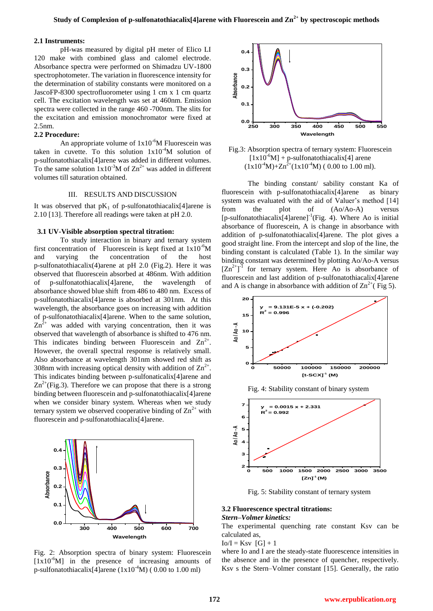#### **2.1 Instruments:**

pH-was measured by digital pH meter of Elico LI 120 make with combined glass and calomel electrode. Absorbance spectra were performed on Shimadzu UV-1800 spectrophotometer. The variation in fluorescence intensity for the determination of stability constants were monitored on a JascoFP-8300 spectrofluorometer using 1 cm x 1 cm quartz cell. The excitation wavelength was set at 460nm. Emission spectra were collected in the range 460 -700nm. The slits for the excitation and emission monochromator were fixed at 2.5nm.

#### **2.2 Procedure:**

An appropriate volume of  $1x10^{-6}M$  Fluorescein was taken in cuvette. To this solution  $1x10^{-4}M$  solution of p-sulfonatothiacalix[4]arene was added in different volumes. To the same solution  $1x10^{-3}M$  of  $Zn^{2+}$  was added in different volumes till saturation obtained.

# III. RESULTS AND DISCUSSION

It was observed that  $pK_1$  of p-sulfonatothiacalix[4]arene is 2.10 [13]. Therefore all readings were taken at pH 2.0.

#### **3.1 UV-Visible absorption spectral titration:**

To study interaction in binary and ternary system first concentration of Fluorescein is kept fixed at  $1x10^{-6}M$ and varying the concentration of the host p-sulfonatothiacalix(4)arene at pH 2.0 (Fig.2). Here it was observed that fluorescein absorbed at 486nm. With addition of p-sulfonatothiacalix[4]arene, the wavelength of absorbance showed blue shift from 486 to 480 nm. Excess of p-sulfonatothiacalix[4]arene is absorbed at 301nm. At this wavelength, the absorbance goes on increasing with addition of p-sulfonatothiacalix[4]arene. When to the same solution,  $Zn^{2+}$  was added with varying concentration, then it was observed that wavelength of absorbance is shifted to 476 nm. This indicates binding between Fluorescein and  $Zn^{2+}$ . However, the overall spectral response is relatively small. Also absorbance at wavelength 301nm showed red shift as 308nm with increasing optical density with addition of  $\text{Zn}^{2+}$ . This indicates binding between p-sulfonaticalix[4]arene and  $\text{Zn}^{2+}$ (Fig.3). Therefore we can propose that there is a strong binding between fluorescein and p-sulfonatothiacalix[4]arene when we consider binary system. Whereas when we study ternary system we observed cooperative binding of  $\text{Zn}^{2+}$  with fluorescein and p-sulfonatothiacalix[4]arene.



Fig. 2: Absorption spectra of binary system: Fluorescein  $[1x10^{-6}M]$  in the presence of increasing amounts of p-sulfonatothiacalix<sup>[4]</sup>arene  $(1x10^{-4}M)$  ( 0.00 to 1.00 ml)



Fig.3: Absorption spectra of ternary system: Fluorescein  $[1x10^6M] + p$ -sulfonatothiacalix[4] arene  $(1x10^{-4}M)+Zn^{2+}(1x10^{-4}M)$  ( 0.00 to 1.00 ml).

The binding constant/ sability constant Ka of fluorescein with p-sulfonatothiacalix[4]arene as binary system was evaluated with the aid of Valuer's method [14] from the plot of (Ao/Ao-A) versus [p-sulfonatothiacalix[4]arene]<sup>-1</sup>(Fig. 4). Where Ao is initial absorbance of fluorescein, A is change in absorbance with addition of p-sulfonatothiacalix[4]arene. The plot gives a good straight line. From the intercept and slop of the line, the binding constant is calculated (Table 1). In the similar way binding constant was determined by plotting Ao/Ao-A versus  $[Zn^{2+}]$ <sup>-1</sup> for ternary system. Here Ao is absorbance of fluorescein and last addition of p-sulfonatothiacalix[4]arene and A is change in absorbance with addition of  $\text{Zn}^{2+}$  (Fig 5).



Fig. 5: Stability constant of ternary system

 $[Zn]$ <sup>1</sup> (M)

# **3.2 Fluorescence spectral titrations:**

*Stern–Volmer kinetics:*

The experimental quenching rate constant Ksv can be calculated as,

 $Io/I = Ksv$   $[G] + 1$ 

where Io and I are the steady-state fluorescence intensities in the absence and in the presence of quencher, respectively. Ksv s the Stern–Volmer constant [15]. Generally, the ratio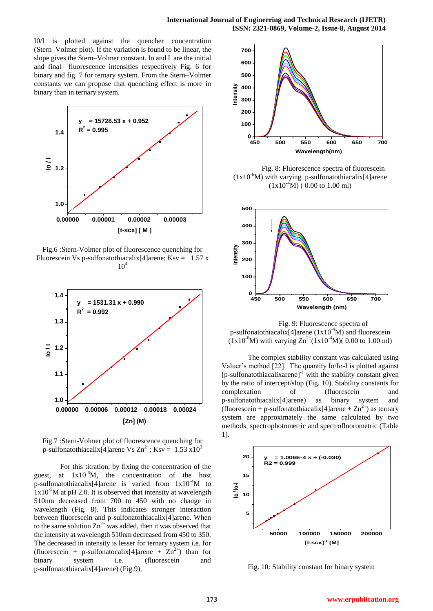I0/I is plotted against the quencher concentration (Stern–Volmer plot). If the variation is found to be linear, the slope gives the Stern–Volmer constant. Io and I are the initial and final fluorescence intensities respectively Fig. 6 for binary and fig. 7 for ternary system. From the Stern–Volmer constants we can propose that quenching effect is more in binary than in ternary system.



Fig.6 :Stern-Volmer plot of fluorescence quenching for Fluorescein Vs p-sulfonatothiacalix[4]arene; Ksv =  $1.57 \text{ x}$  $10^{4}$ 



Fig.7 :Stern-Volmer plot of fluorescence quenching for p-sulfonatothiacalix<sup>[4]</sup>arene Vs  $\text{Zn}^{2+}$ ; Ksv = 1.53 x10<sup>3</sup>

For this titration, by fixing the concentration of the guest, at  $1x10^{-6}M$ , the concentration of the host p-sulfonatothiacalix<sup>[4]</sup>arene is varied from  $1x10^{-4}$ M to  $1x10<sup>-5</sup>M$  at pH 2.0. It is observed that intensity at wavelength 510nm decreased from 700 to 450 with no change in wavelength (Fig. 8). This indicates stronger interaction between fluorescein and p-sulfonatothiacalix[4]arene. When to the same solution  $\text{Zn}^{2+}$  was added, then it was observed that the intensity at wavelength 510nm decreased from 450 to 350. The decreased in intensity is lesser for ternary system i.e. for (fluorescein + p-sulfonatocalix[4]arene +  $\text{Zn}^{2+}$ ) than for binary system i.e. (fluorescein and p-sulfonatothiacalix[4]arene) (Fig.9).



Fig. 8: Fluorescence spectra of fluorescein  $(1x10<sup>-6</sup>M)$  with varying p-sulfonatothiacalix[4]arene  $(1x10^4M)$  ( 0.00 to 1.00 ml)



Fig. 9: Fluorescence spectra of p-sulfonatothiacalix[4]arene  $(1x10^{-4}M)$  and fluorescein  $(1x10^{-6}M)$  with varying  $Zn^{2+}(1x10^{-4}M)( 0.00$  to 1.00 ml)

The complex stability constant was calculated using Valuer's method [22]. The quantity Io/Io-I is plotted against  $[p$ -sulfonatothiacalixarene] $^{-1}$  with the stability constant given by the ratio of intercept/slop (Fig. 10). Stability constants for complexation of (fluorescein and p-sulfonatothiacalix[4]arene) as binary system and (fluorescein + p-sulfonatothiacalix[4]arene +  $\text{Zn}^{2+}$ ) as ternary system are approximately the same calculated by two methods, spectrophotometric and spectrofluorometric (Table 1).